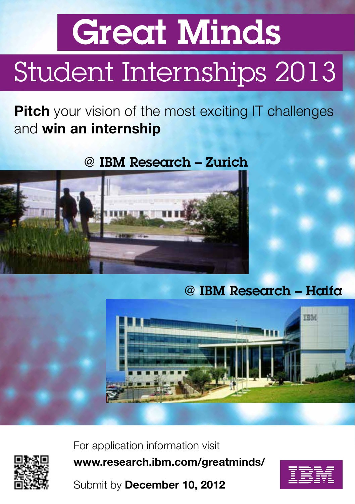## Great Minds Student Internships 2013

**Pitch** your vision of the most exciting IT challenges and win an internship

## @ IBM Research – Zurich



## @ IBM Research – Haifa





For application information visit www.research.ibm.com/greatminds/

Submit by December 10, 2012